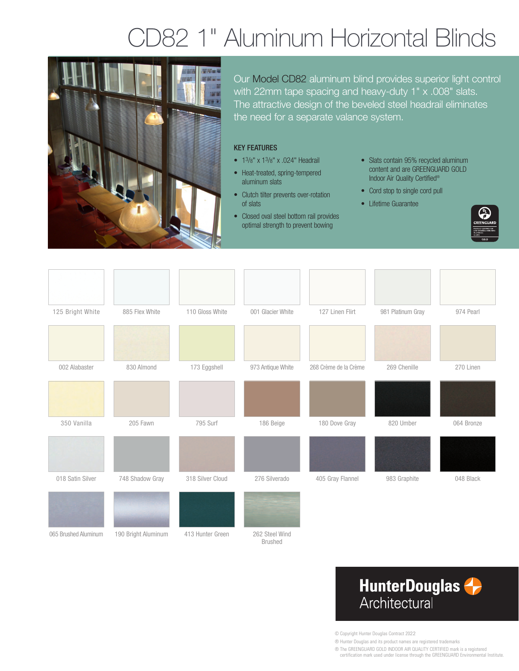# D82 1" Aluminum Horizontal Blinds



Our Model CD82 aluminum blind provides superior light control with 22mm tape spacing and heavy-duty 1" x .008" slats. The attractive design of the beveled steel headrail eliminates the need for a separate valance system.

#### KEY FEATURES

- 13/8" x 13/8" x .024" Headrail
- Heat-treated, spring-tempered aluminum slats
- Clutch tilter prevents over-rotation of slats
- Closed oval steel bottom rail provides optimal strength to prevent bowing
- Slats contain 95% recycled aluminum content and are GREENGUARD GOLD Indoor Air Quality Certified®
- Cord stop to single cord pull
- Lifetime Guarantee



| 125 Bright White     | 885 Flex White      | 110 Gloss White  | 001 Glacier White                | 127 Linen Flirt       | 981 Platinum Gray | 974 Pearl  |
|----------------------|---------------------|------------------|----------------------------------|-----------------------|-------------------|------------|
|                      |                     |                  |                                  |                       |                   |            |
| 002 Alabaster        | 830 Almond          | 173 Eggshell     | 973 Antique White                | 268 Crème de la Crème | 269 Chenille      | 270 Linen  |
|                      |                     |                  |                                  |                       |                   |            |
| 350 Vanilla          | 205 Fawn            | 795 Surf         | 186 Beige                        | 180 Dove Gray         | 820 Umber         | 064 Bronze |
|                      |                     |                  |                                  |                       |                   |            |
| 018 Satin Silver     | 748 Shadow Gray     | 318 Silver Cloud | 276 Silverado                    | 405 Gray Flannel      | 983 Graphite      | 048 Black  |
|                      |                     |                  |                                  |                       |                   |            |
| 065 Brushed Aluminum | 190 Bright Aluminum | 413 Hunter Green | 262 Steel Wind<br><b>Brushed</b> |                       |                   |            |

## **HunterDouglas** Architectural

© Copyright Hunter Douglas Contract 2022

® Hunter Douglas and its product names are registered trademarks

® The GREENGUARD GOLD INDOOR AIR QUALITY CERTIFIED mark is a registered

certification mark used under license through the GREENGUARD Environmental Institute.